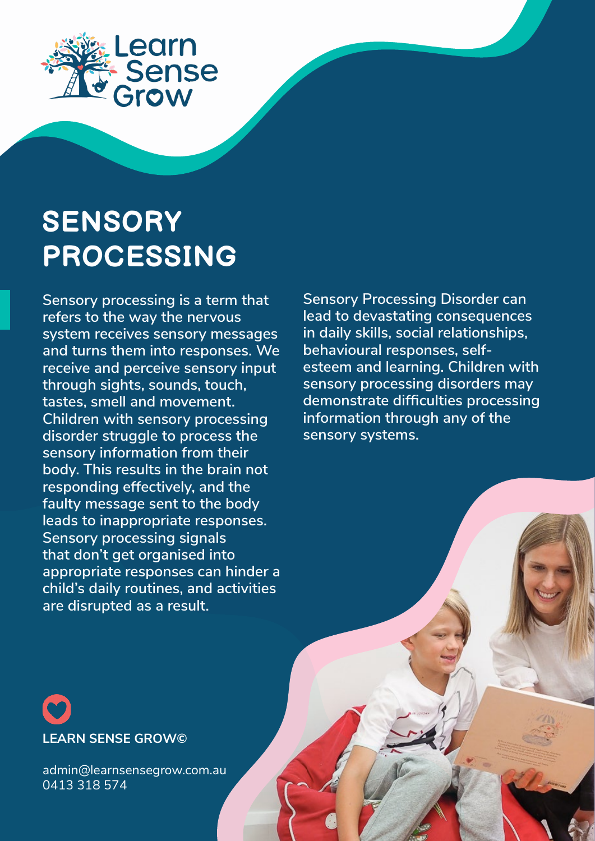

# **SENSORY PROCESSING**

**Sensory processing is a term that refers to the way the nervous system receives sensory messages and turns them into responses. We receive and perceive sensory input through sights, sounds, touch, tastes, smell and movement. Children with sensory processing disorder struggle to process the sensory information from their body. This results in the brain not responding effectively, and the faulty message sent to the body leads to inappropriate responses. Sensory processing signals that don't get organised into appropriate responses can hinder a child's daily routines, and activities are disrupted as a result.** 

**Sensory Processing Disorder can lead to devastating consequences in daily skills, social relationships, behavioural responses, selfesteem and learning. Children with sensory processing disorders may demonstrate difficulties processing information through any of the sensory systems.**

# **LEARN SENSE GROW©**

admin@learnsensegrow.com.au 0413 318 574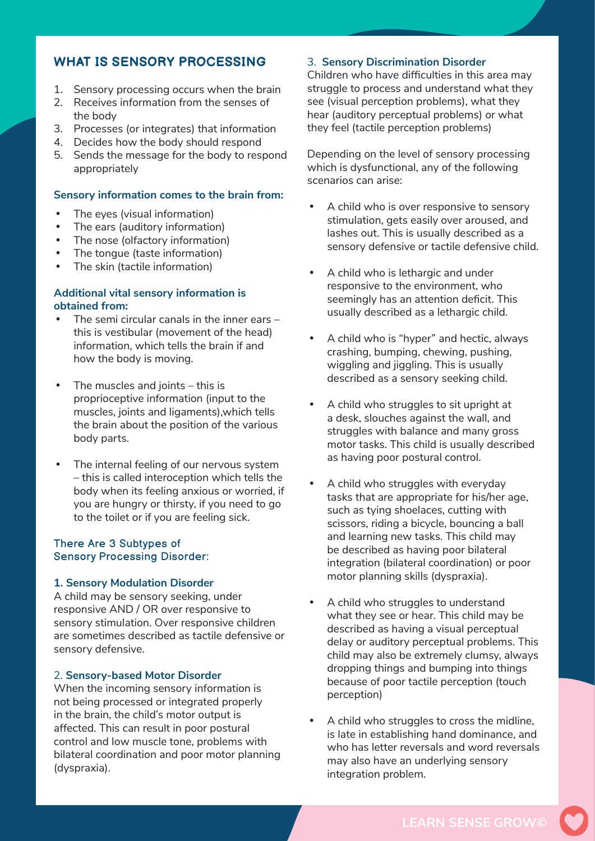#### **WHAT IS SENSORY PROCESSING**

- 1. Sensory processing occurs when the brain
- 2. Receives information from the senses of the body
- 3. Processes (or integrates) that information
- 4. Decides how the body should respond
- 5. Sends the message for the body to respond appropriately

#### **Sensory information comes to the brain from:**

- The eyes (visual information)
- The ears (auditory information)
- The nose (olfactory information)
- The tongue (taste information)
- The skin (tactile information)

#### **Additional vital sensory information is obtained from:**

- The semi circular canals in the inner ears  $$ this is vestibular (movement of the head) information, which tells the brain if and how the body is moving.
- The muscles and joints  $-$  this is proprioceptive information (input to the muscles, joints and ligaments),which tells the brain about the position of the various body parts.
- The internal feeling of our nervous system – this is called interoception which tells the body when its feeling anxious or worried, if you are hungry or thirsty, if you need to go to the toilet or if you are feeling sick.

#### There Are 3 Subtypes of Sensory Processing Disorder:

#### **1. Sensory Modulation Disorder**

A child may be sensory seeking, under responsive AND / OR over responsive to sensory stimulation. Over responsive children are sometimes described as tactile defensive or sensory defensive.

#### 2. **Sensory-based Motor Disorder**

When the incoming sensory information is not being processed or integrated properly in the brain, the child's motor output is affected. This can result in poor postural control and low muscle tone, problems with bilateral coordination and poor motor planning (dyspraxia).

#### 3. **Sensory Discrimination Disorder**

Children who have difficulties in this area may struggle to process and understand what they see (visual perception problems), what they hear (auditory perceptual problems) or what they feel (tactile perception problems)

Depending on the level of sensory processing which is dysfunctional, any of the following scenarios can arise:

- A child who is over responsive to sensory stimulation, gets easily over aroused, and lashes out. This is usually described as a sensory defensive or tactile defensive child.
- A child who is lethargic and under responsive to the environment, who seemingly has an attention deficit. This usually described as a lethargic child.
- A child who is "hyper" and hectic, always crashing, bumping, chewing, pushing, wiggling and jiggling. This is usually described as a sensory seeking child.
- A child who struggles to sit upright at a desk, slouches against the wall, and struggles with balance and many gross motor tasks. This child is usually described as having poor postural control.
- A child who struggles with everyday tasks that are appropriate for his/her age, such as tying shoelaces, cutting with scissors, riding a bicycle, bouncing a ball and learning new tasks. This child may be described as having poor bilateral integration (bilateral coordination) or poor motor planning skills (dyspraxia).
- A child who struggles to understand what they see or hear. This child may be described as having a visual perceptual delay or auditory perceptual problems. This child may also be extremely clumsy, always dropping things and bumping into things because of poor tactile perception (touch perception)
- A child who struggles to cross the midline, is late in establishing hand dominance, and who has letter reversals and word reversals may also have an underlying sensory integration problem.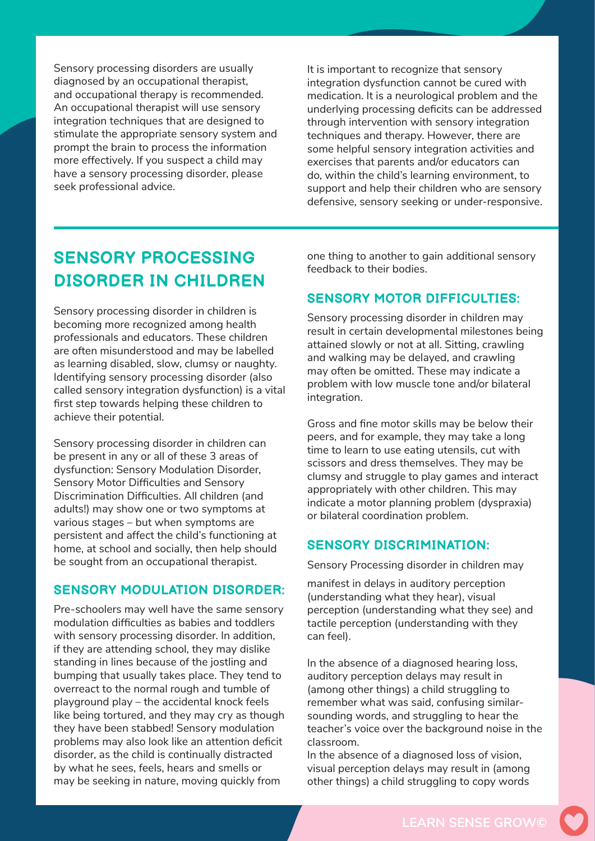Sensory processing disorders are usually diagnosed by an occupational therapist, and occupational therapy is recommended. An occupational therapist will use sensory integration techniques that are designed to stimulate the appropriate sensory system and prompt the brain to process the information more effectively. If you suspect a child may have a sensory processing disorder, please seek professional advice.

It is important to recognize that sensory integration dysfunction cannot be cured with medication. It is a neurological problem and the underlying processing deficits can be addressed through intervention with sensory integration techniques and therapy. However, there are some helpful sensory integration activities and exercises that parents and/or educators can do, within the child's learning environment, to support and help their children who are sensory defensive, sensory seeking or under-responsive.

### **SENSORY PROCESSING DISORDER IN CHILDREN**

Sensory processing disorder in children is becoming more recognized among health professionals and educators. These children are often misunderstood and may be labelled as learning disabled, slow, clumsy or naughty. Identifying sensory processing disorder (also called sensory integration dysfunction) is a vital first step towards helping these children to achieve their potential.

Sensory processing disorder in children can be present in any or all of these 3 areas of dysfunction: Sensory Modulation Disorder, Sensory Motor Difficulties and Sensory Discrimination Difficulties. All children (and adults!) may show one or two symptoms at various stages – but when symptoms are persistent and affect the child's functioning at home, at school and socially, then help should be sought from an occupational therapist.

#### **SENSORY MODULATION DISORDER:**

Pre-schoolers may well have the same sensory modulation difficulties as babies and toddlers with sensory processing disorder. In addition, if they are attending school, they may dislike standing in lines because of the jostling and bumping that usually takes place. They tend to overreact to the normal rough and tumble of playground play – the accidental knock feels like being tortured, and they may cry as though they have been stabbed! Sensory modulation problems may also look like an attention deficit disorder, as the child is continually distracted by what he sees, feels, hears and smells or may be seeking in nature, moving quickly from

one thing to another to gain additional sensory feedback to their bodies.

#### **SENSORY MOTOR DIFFICULTIES:**

Sensory processing disorder in children may result in certain developmental milestones being attained slowly or not at all. Sitting, crawling and walking may be delayed, and crawling may often be omitted. These may indicate a problem with low muscle tone and/or bilateral integration.

Gross and fine motor skills may be below their peers, and for example, they may take a long time to learn to use eating utensils, cut with scissors and dress themselves. They may be clumsy and struggle to play games and interact appropriately with other children. This may indicate a motor planning problem (dyspraxia) or bilateral coordination problem.

#### **SENSORY DISCRIMINATION:**

Sensory Processing disorder in children may

manifest in delays in auditory perception (understanding what they hear), visual perception (understanding what they see) and tactile perception (understanding with they can feel).

In the absence of a diagnosed hearing loss, auditory perception delays may result in (among other things) a child struggling to remember what was said, confusing similarsounding words, and struggling to hear the teacher's voice over the background noise in the classroom.

In the absence of a diagnosed loss of vision, visual perception delays may result in (among other things) a child struggling to copy words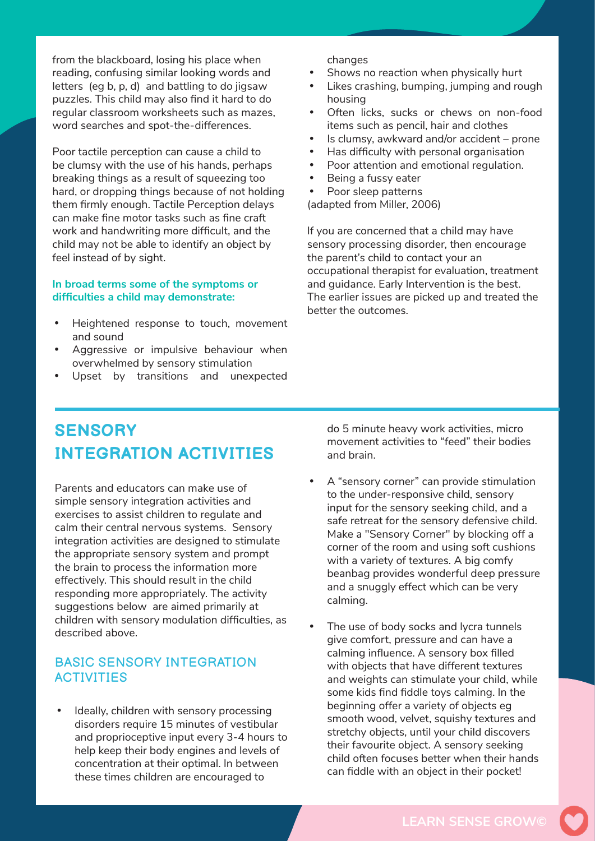from the blackboard, losing his place when reading, confusing similar looking words and letters (eg b, p, d) and battling to do jigsaw puzzles. This child may also find it hard to do regular classroom worksheets such as mazes, word searches and spot-the-differences.

Poor tactile perception can cause a child to be clumsy with the use of his hands, perhaps breaking things as a result of squeezing too hard, or dropping things because of not holding them firmly enough. Tactile Perception delays can make fine motor tasks such as fine craft work and handwriting more difficult, and the child may not be able to identify an object by feel instead of by sight.

#### **In broad terms some of the symptoms or difficulties a child may demonstrate:**

- Heightened response to touch, movement and sound
- Aggressive or impulsive behaviour when overwhelmed by sensory stimulation
- Upset by transitions and unexpected

changes

- Shows no reaction when physically hurt
- Likes crashing, bumping, jumping and rough housing
- Often licks, sucks or chews on non-food items such as pencil, hair and clothes
- Is clumsy, awkward and/or accident prone
- Has difficulty with personal organisation
- Poor attention and emotional regulation.
- Being a fussy eater
- Poor sleep patterns
- (adapted from Miller, 2006)

If you are concerned that a child may have sensory processing disorder, then encourage the parent's child to contact your an occupational therapist for evaluation, treatment and guidance. Early Intervention is the best. The earlier issues are picked up and treated the better the outcomes.

## **SENSORY INTEGRATION ACTIVITIES**

Parents and educators can make use of simple sensory integration activities and exercises to assist children to regulate and calm their central nervous systems. Sensory integration activities are designed to stimulate the appropriate sensory system and prompt the brain to process the information more effectively. This should result in the child responding more appropriately. The activity suggestions below are aimed primarily at children with sensory modulation difficulties, as described above.

#### BASIC SENSORY INTEGRATION **ACTIVITIES**

Ideally, children with sensory processing disorders require 15 minutes of vestibular and proprioceptive input every 3-4 hours to help keep their body engines and levels of concentration at their optimal. In between these times children are encouraged to

do 5 minute heavy work activities, micro movement activities to "feed" their bodies and brain.

- A "sensory corner" can provide stimulation to the under-responsive child, sensory input for the sensory seeking child, and a safe retreat for the sensory defensive child. Make a "Sensory Corner" by blocking off a corner of the room and using soft cushions with a variety of textures. A big comfy beanbag provides wonderful deep pressure and a snuggly effect which can be very calming.
- The use of body socks and lycra tunnels give comfort, pressure and can have a calming influence. A sensory box filled with objects that have different textures and weights can stimulate your child, while some kids find fiddle toys calming. In the beginning offer a variety of objects eg smooth wood, velvet, squishy textures and stretchy objects, until your child discovers their favourite object. A sensory seeking child often focuses better when their hands can fiddle with an object in their pocket!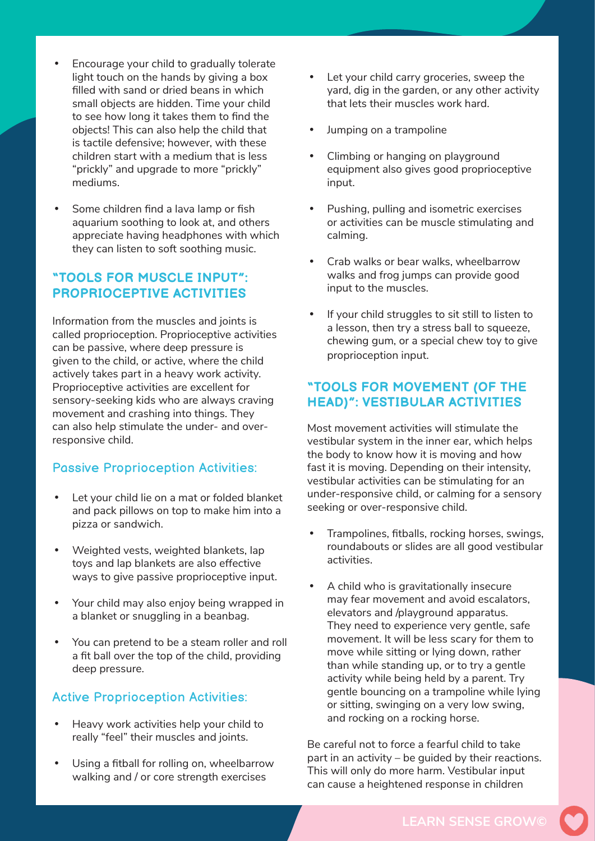- Encourage your child to gradually tolerate light touch on the hands by giving a box filled with sand or dried beans in which small objects are hidden. Time your child to see how long it takes them to find the objects! This can also help the child that is tactile defensive; however, with these children start with a medium that is less "prickly" and upgrade to more "prickly" mediums.
- Some children find a lava lamp or fish aquarium soothing to look at, and others appreciate having headphones with which they can listen to soft soothing music.

#### **"TOOLS FOR MUSCLE INPUT": PROPRIOCEPTIVE ACTIVITIES**

Information from the muscles and joints is called proprioception. Proprioceptive activities can be passive, where deep pressure is given to the child, or active, where the child actively takes part in a heavy work activity. Proprioceptive activities are excellent for sensory-seeking kids who are always craving movement and crashing into things. They can also help stimulate the under- and overresponsive child.

#### Passive Proprioception Activities:

- Let your child lie on a mat or folded blanket and pack pillows on top to make him into a pizza or sandwich.
- Weighted vests, weighted blankets, lap toys and lap blankets are also effective ways to give passive proprioceptive input.
- Your child may also enjoy being wrapped in a blanket or snuggling in a beanbag.
- You can pretend to be a steam roller and roll a fit ball over the top of the child, providing deep pressure.

#### Active Proprioception Activities:

- Heavy work activities help your child to really "feel" their muscles and joints.
- Using a fitball for rolling on, wheelbarrow walking and / or core strength exercises
- Let your child carry groceries, sweep the yard, dig in the garden, or any other activity that lets their muscles work hard.
- Jumping on a trampoline
- Climbing or hanging on playground equipment also gives good proprioceptive input.
- Pushing, pulling and isometric exercises or activities can be muscle stimulating and calming.
- Crab walks or bear walks, wheelbarrow walks and frog jumps can provide good input to the muscles.
- • If your child struggles to sit still to listen to a lesson, then try a stress ball to squeeze, chewing gum, or a special chew toy to give proprioception input.

#### **"TOOLS FOR MOVEMENT (OF THE HEAD)": VESTIBULAR ACTIVITIES**

Most movement activities will stimulate the vestibular system in the inner ear, which helps the body to know how it is moving and how fast it is moving. Depending on their intensity, vestibular activities can be stimulating for an under-responsive child, or calming for a sensory seeking or over-responsive child.

- Trampolines, fitballs, rocking horses, swings, roundabouts or slides are all good vestibular activities.
- A child who is gravitationally insecure may fear movement and avoid escalators, elevators and /playground apparatus. They need to experience very gentle, safe movement. It will be less scary for them to move while sitting or lying down, rather than while standing up, or to try a gentle activity while being held by a parent. Try gentle bouncing on a trampoline while lying or sitting, swinging on a very low swing, and rocking on a rocking horse.

Be careful not to force a fearful child to take part in an activity – be guided by their reactions. This will only do more harm. Vestibular input can cause a heightened response in children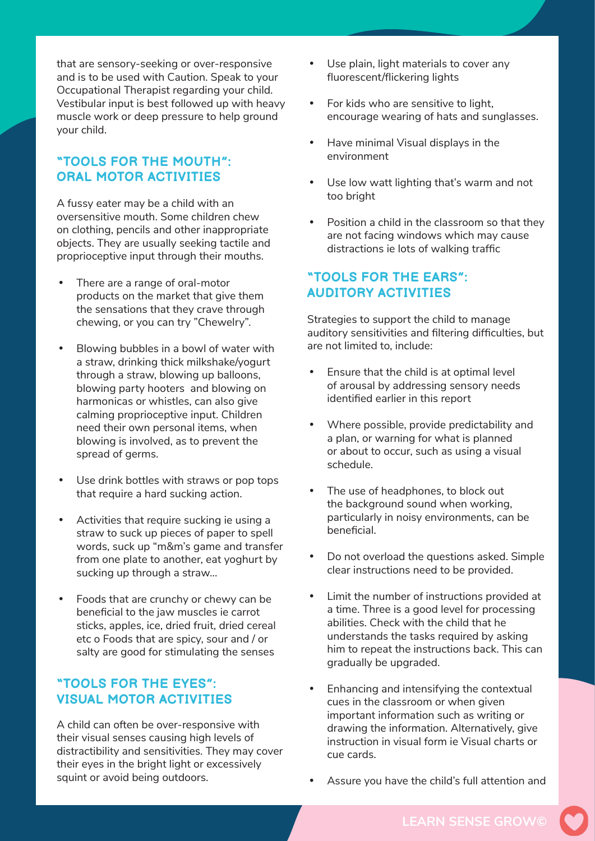that are sensory-seeking or over-responsive and is to be used with Caution. Speak to your Occupational Therapist regarding your child. Vestibular input is best followed up with heavy muscle work or deep pressure to help ground your child.

#### **"TOOLS FOR THE MOUTH": ORAL MOTOR ACTIVITIES**

A fussy eater may be a child with an oversensitive mouth. Some children chew on clothing, pencils and other inappropriate objects. They are usually seeking tactile and proprioceptive input through their mouths.

- There are a range of oral-motor products on the market that give them the sensations that they crave through chewing, or you can try "Chewelry".
- • Blowing bubbles in a bowl of water with a straw, drinking thick milkshake/yogurt through a straw, blowing up balloons, blowing party hooters and blowing on harmonicas or whistles, can also give calming proprioceptive input. Children need their own personal items, when blowing is involved, as to prevent the spread of germs.
- Use drink bottles with straws or pop tops that require a hard sucking action.
- • Activities that require sucking ie using a straw to suck up pieces of paper to spell words, suck up "m&m's game and transfer from one plate to another, eat yoghurt by sucking up through a straw…
- • Foods that are crunchy or chewy can be beneficial to the jaw muscles ie carrot sticks, apples, ice, dried fruit, dried cereal etc o Foods that are spicy, sour and / or salty are good for stimulating the senses

#### **"TOOLS FOR THE EYES": VISUAL MOTOR ACTIVITIES**

A child can often be over-responsive with their visual senses causing high levels of distractibility and sensitivities. They may cover their eyes in the bright light or excessively squint or avoid being outdoors.

- Use plain, light materials to cover any fluorescent/flickering lights
- • For kids who are sensitive to light, encourage wearing of hats and sunglasses.
- • Have minimal Visual displays in the environment
- • Use low watt lighting that's warm and not too bright
- Position a child in the classroom so that they are not facing windows which may cause distractions ie lots of walking traffic

#### **"TOOLS FOR THE EARS": AUDITORY ACTIVITIES**

Strategies to support the child to manage auditory sensitivities and filtering difficulties, but are not limited to, include:

- Ensure that the child is at optimal level of arousal by addressing sensory needs identified earlier in this report
- Where possible, provide predictability and a plan, or warning for what is planned or about to occur, such as using a visual schedule.
- The use of headphones, to block out the background sound when working, particularly in noisy environments, can be beneficial.
- Do not overload the questions asked. Simple clear instructions need to be provided.
- Limit the number of instructions provided at a time. Three is a good level for processing abilities. Check with the child that he understands the tasks required by asking him to repeat the instructions back. This can gradually be upgraded.
- Enhancing and intensifying the contextual cues in the classroom or when given important information such as writing or drawing the information. Alternatively, give instruction in visual form ie Visual charts or cue cards.
- Assure you have the child's full attention and